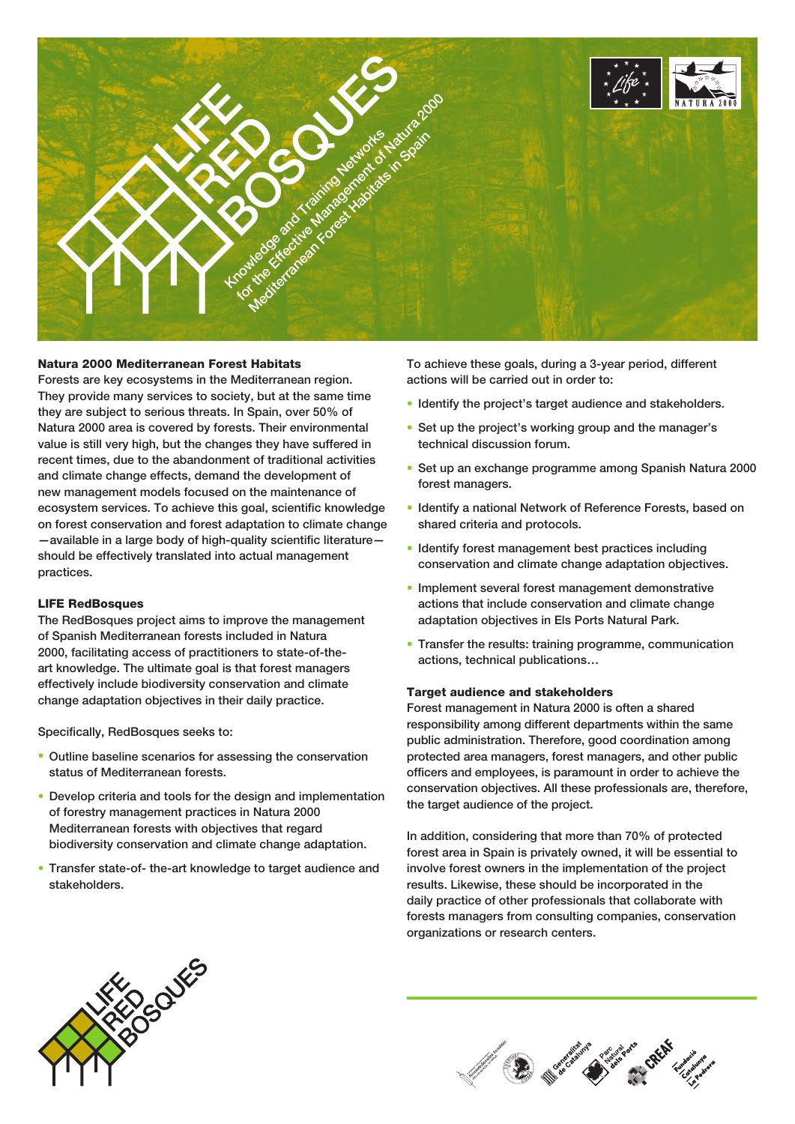

# Natura 2000 Mediterranean Forest Habitats

Forests are key ecosystems in the Mediterranean region. They provide many services to society, but at the same time they are subject to serious threats. In Spain, over 50% of Natura 2000 area is covered by forests. Their environmental value is still very high, but the changes they have suffered in recent times, due to the abandonment of traditional activities and climate change effects, demand the development of new management models focused on the maintenance of ecosystem services. To achieve this goal, scientific knowledge on forest conservation and forest adaptation to climate change —available in a large body of high-quality scientific literature should be effectively translated into actual management practices.

### LIFE RedBosques

The RedBosques project aims to improve the management of Spanish Mediterranean forests included in Natura 2000, facilitating access of practitioners to state-of-theart knowledge. The ultimate goal is that forest managers effectively include biodiversity conservation and climate change adaptation objectives in their daily practice.

Specifically, RedBosques seeks to:

- Outline baseline scenarios for assessing the conservation status of Mediterranean forests.
- Develop criteria and tools for the design and implementation of forestry management practices in Natura 2000 Mediterranean forests with objectives that regard biodiversity conservation and climate change adaptation.
- Transfer state-of- the-art knowledge to target audience and stakeholders.

To achieve these goals, during a 3-year period, different actions will be carried out in order to:

- Identify the project's target audience and stakeholders.
- Set up the project's working group and the manager's technical discussion forum.
- Set up an exchange programme among Spanish Natura 2000 forest managers.
- Identify a national Network of Reference Forests, based on shared criteria and protocols.
- Identify forest management best practices including conservation and climate change adaptation objectives.
- Implement several forest management demonstrative actions that include conservation and climate change adaptation objectives in Els Ports Natural Park.
- Transfer the results: training programme, communication actions, technical publications…

#### Target audience and stakeholders

Forest management in Natura 2000 is often a shared responsibility among different departments within the same public administration. Therefore, good coordination among protected area managers, forest managers, and other public officers and employees, is paramount in order to achieve the conservation objectives. All these professionals are, therefore, the target audience of the project.

In addition, considering that more than 70% of protected forest area in Spain is privately owned, it will be essential to involve forest owners in the implementation of the project results. Likewise, these should be incorporated in the daily practice of other professionals that collaborate with forests managers from consulting companies, conservation organizations or research centers.